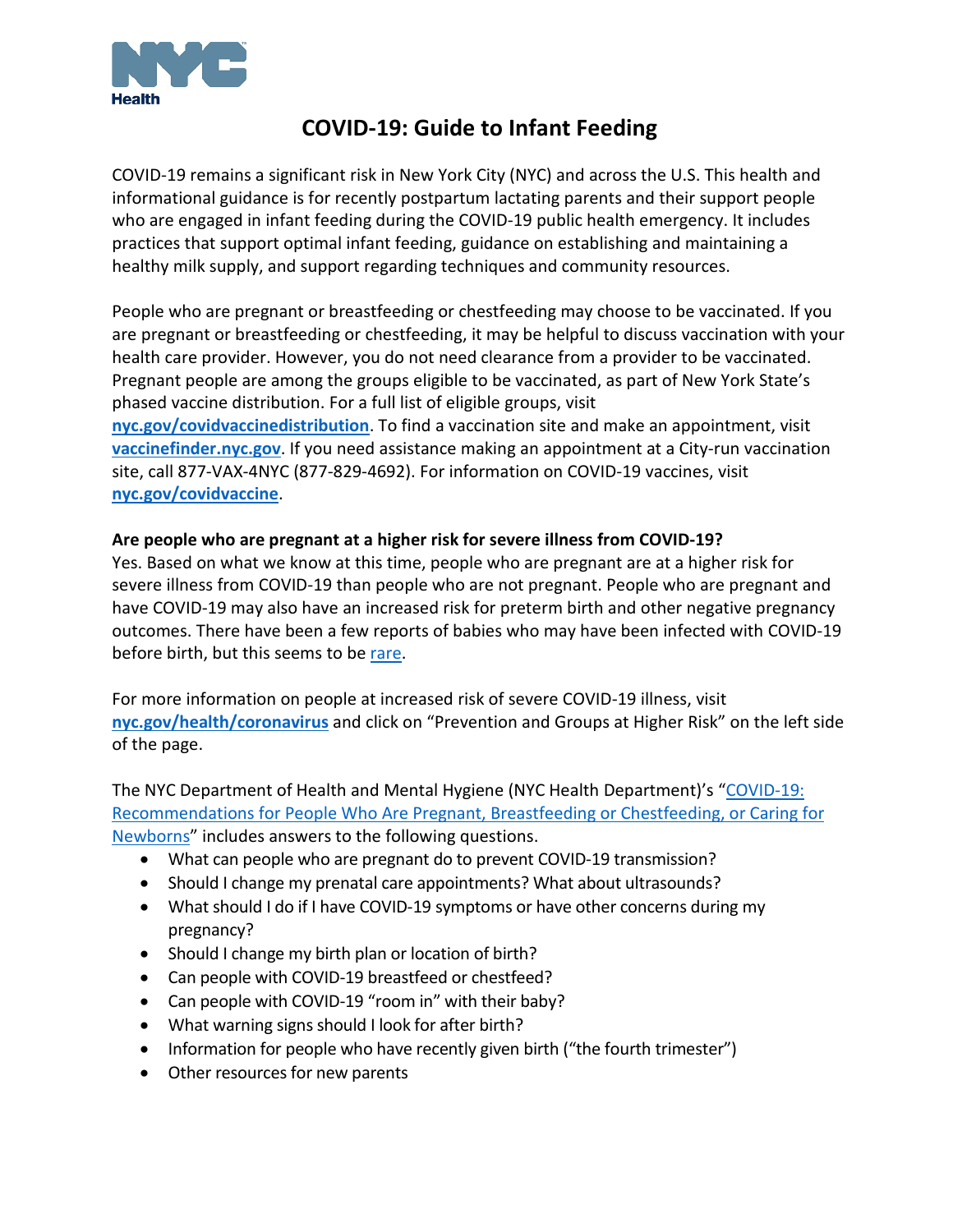

# **COVID-19: Guide to Infant Feeding**

COVID-19 remains a significant risk in New York City (NYC) and across the U.S. This health and informational guidance is for recently postpartum lactating parents and their support people who are engaged in infant feeding during the COVID-19 public health emergency. It includes practices that support optimal infant feeding, guidance on establishing and maintaining a healthy milk supply, and support regarding techniques and community resources.

People who are pregnant or breastfeeding or chestfeeding may choose to be vaccinated. If you are pregnant or breastfeeding or chestfeeding, it may be helpful to discuss vaccination with your health care provider. However, you do not need clearance from a provider to be vaccinated. Pregnant people are among the groups eligible to be vaccinated, as part of New York State's phased vaccine distribution. For a full list of eligible groups, visit **[nyc.gov/covidvaccinedistribution](https://www1.nyc.gov/site/doh/covid/covid-19-vaccine-eligibility.page)**. To find a vaccination site and make an appointment, visit **[vaccinefinder.nyc.gov](http://vaccinefinder.nyc.gov/)**. If you need assistance making an appointment at a City-run vaccination site, call 877-VAX-4NYC (877-829-4692). For information on COVID-19 vaccines, visit **[nyc.gov/covidvaccine](https://www1.nyc.gov/site/doh/covid/covid-19-vaccines.page)**.

### **Are people who are pregnant at a higher risk for severe illness from COVID-19?**

Yes. Based on what we know at this time, people who are pregnant are at a higher risk for severe illness from COVID-19 than people who are not pregnant. People who are pregnant and have COVID-19 may also have an increased risk for preterm birth and other negative pregnancy outcomes. There have been a few reports of babies who may have been infected with COVID-19 before birth, but this seems to be [rare.](https://www.ncbi.nlm.nih.gov/pmc/articles/PMC7392880/pdf/main.pdf)

For more information on people at increased risk of severe COVID-19 illness, visit **[nyc.gov/health/coronavirus](https://www1.nyc.gov/site/doh/covid/covid-19-main.page)** and click on "Prevention and Groups at Higher Risk" on the left side of the page.

The NYC Department of Health and Mental Hygiene (NYC Health Department)'s ["COVID-19:](https://www1.nyc.gov/assets/doh/downloads/pdf/imm/covid-19-guidance-for-pregnant-people.pdf)  [Recommendations for People Who Are Pregnant, Breastfeeding or](https://www1.nyc.gov/assets/doh/downloads/pdf/imm/covid-19-guidance-for-pregnant-people.pdf) Chestfeeding, or Caring for [Newborns"](https://www1.nyc.gov/assets/doh/downloads/pdf/imm/covid-19-guidance-for-pregnant-people.pdf) includes answers to the following questions.

- What can people who are pregnant do to prevent COVID-19 transmission?
- Should I change my prenatal care appointments? What about ultrasounds?
- What should I do if I have COVID-19 symptoms or have other concerns during my pregnancy?
- Should I change my birth plan or location of birth?
- Can people with COVID-19 breastfeed or chestfeed?
- Can people with COVID-19 "room in" with their baby?
- What warning signs should I look for after birth?
- Information for people who have recently given birth ("the fourth trimester")
- Other resources for new parents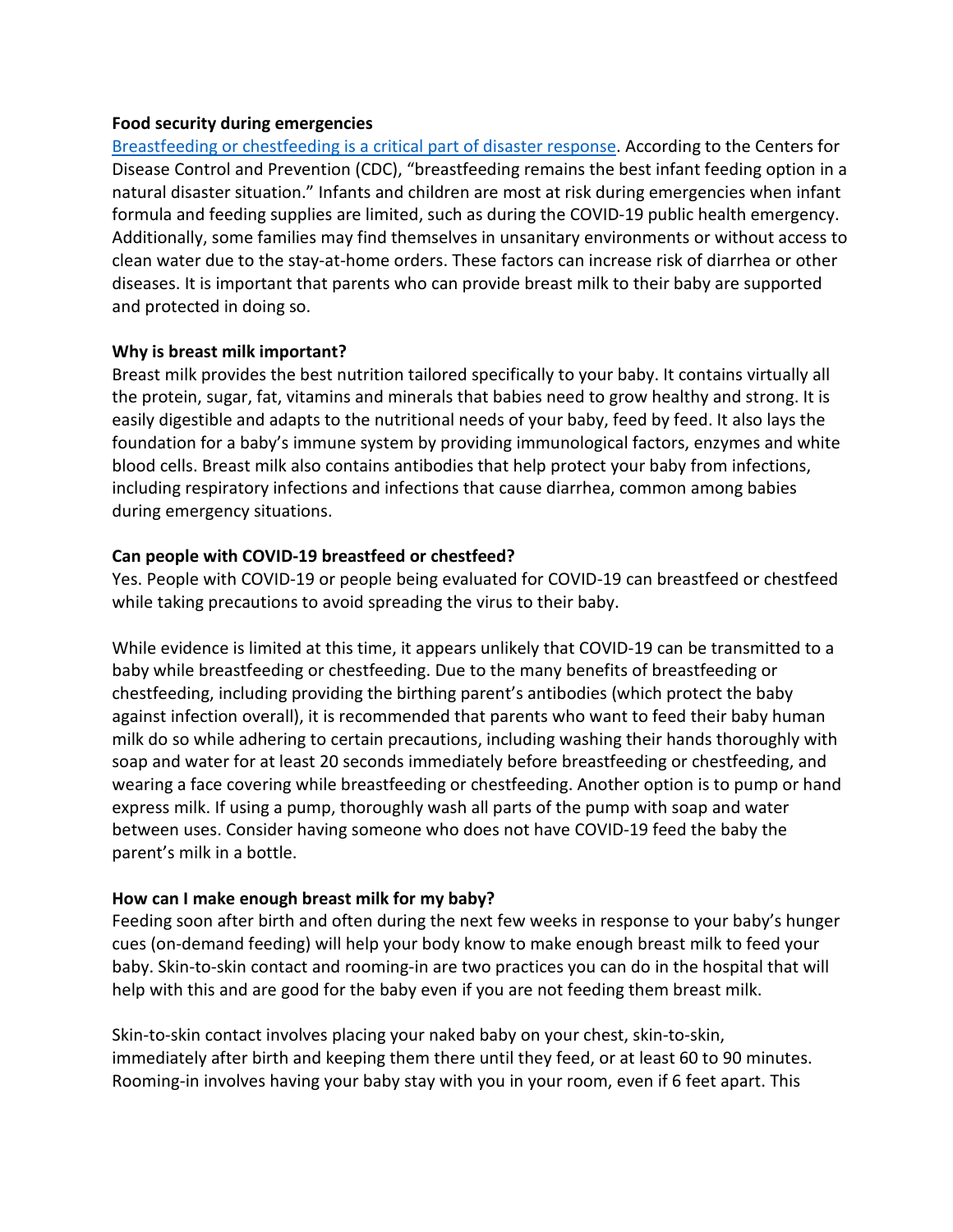#### **Food security during emergencies**

Breastfeeding or chestfeeding [is a critical part of disaster response.](https://www.cdc.gov/nccdphp/dnpao/features/disasters-infant-feeding/index.html) According to the Centers for Disease Control and Prevention (CDC), "breastfeeding remains the best infant feeding option in a natural disaster situation." Infants and children are most at risk during emergencies when infant formula and feeding supplies are limited, such as during the COVID-19 public health emergency. Additionally, some families may find themselves in unsanitary environments or without access to clean water due to the stay-at-home orders. These factors can increase risk of diarrhea or other diseases. It is important that parents who can provide breast milk to their baby are supported and protected in doing so.

#### **Why is breast milk important?**

Breast milk provides the best nutrition tailored specifically to your baby. It contains virtually all the protein, sugar, fat, vitamins and minerals that babies need to grow healthy and strong. It is easily digestible and adapts to the nutritional needs of your baby, feed by feed. It also lays the foundation for a baby's immune system by providing immunological factors, enzymes and white blood cells. Breast milk also contains antibodies that help protect your baby from infections, including respiratory infections and infections that cause diarrhea, common among babies during emergency situations.

#### **Can people with COVID-19 breastfeed or chestfeed?**

Yes. People with COVID-19 or people being evaluated for COVID-19 can breastfeed or chestfeed while taking precautions to avoid spreading the virus to their baby.

While evidence is limited at this time, it appears unlikely that COVID-19 can be transmitted to a baby while breastfeeding or chestfeeding. Due to the many benefits of breastfeeding or chestfeeding, including providing the birthing parent's antibodies (which protect the baby against infection overall), it is recommended that parents who want to feed their baby human milk do so while adhering to certain precautions, including washing their hands thoroughly with soap and water for at least 20 seconds immediately before breastfeeding or chestfeeding, and wearing a face covering while breastfeeding or chestfeeding. Another option is to pump or hand express milk. If using a pump, thoroughly wash all parts of the pump with soap and water between uses. Consider having someone who does not have COVID-19 feed the baby the parent's milk in a bottle.

#### **How can I make enough breast milk for my baby?**

Feeding soon after birth and often during the next few weeks in response to your baby's hunger cues (on-demand feeding) will help your body know to make enough breast milk to feed your baby. Skin-to-skin contact and rooming-in are two practices you can do in the hospital that will help with this and are good for the baby even if you are not feeding them breast milk.

Skin-to-skin contact involves placing your naked baby on your chest, skin-to-skin, immediately after birth and keeping them there until they feed, or at least 60 to 90 minutes. Rooming-in involves having your baby stay with you in your room, even if 6 feet apart. This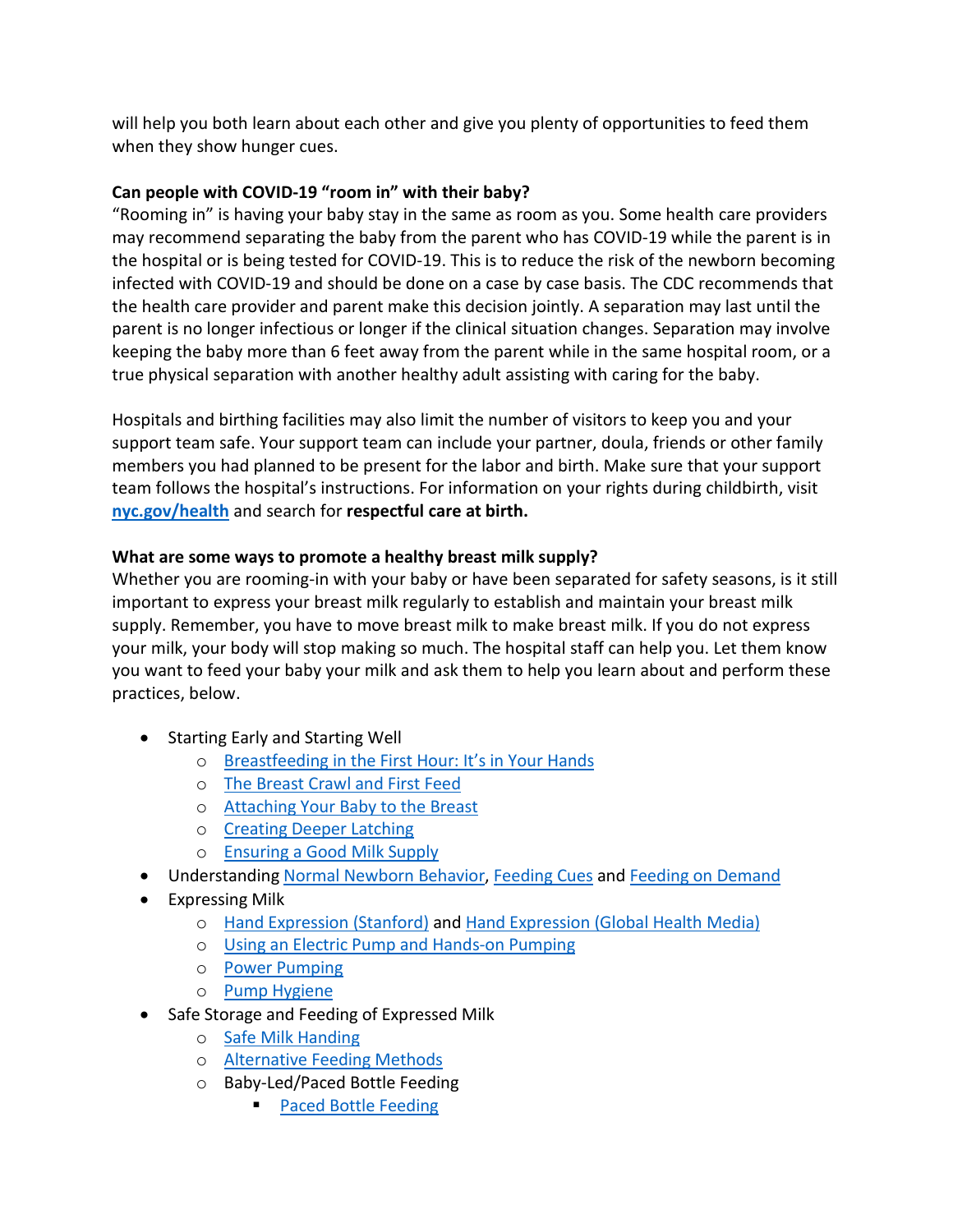will help you both learn about each other and give you plenty of opportunities to feed them when they show hunger cues.

## **Can people with COVID-19 "room in" with their baby?**

"Rooming in" is having your baby stay in the same as room as you. Some health care providers may recommend separating the baby from the parent who has COVID-19 while the parent is in the hospital or is being tested for COVID-19. This is to reduce the risk of the newborn becoming infected with COVID-19 and should be done on a case by case basis. The CDC recommends that the health care provider and parent make this decision jointly. A separation may last until the parent is no longer infectious or longer if the clinical situation changes. Separation may involve keeping the baby more than 6 feet away from the parent while in the same hospital room, or a true physical separation with another healthy adult assisting with caring for the baby.

Hospitals and birthing facilities may also limit the number of visitors to keep you and your support team safe. Your support team can include your partner, doula, friends or other family members you had planned to be present for the labor and birth. Make sure that your support team follows the hospital's instructions. For information on your rights during childbirth, visit **[nyc.gov/health](https://www1.nyc.gov/site/doh/index.page)** and search for **respectful care at birth.** 

## **What are some ways to promote a healthy breast milk supply?**

Whether you are rooming-in with your baby or have been separated for safety seasons, is it still important to express your breast milk regularly to establish and maintain your breast milk supply. Remember, you have to move breast milk to make breast milk. If you do not express your milk, your body will stop making so much. The hospital staff can help you. Let them know you want to feed your baby your milk and ask them to help you learn about and perform these practices, below.

- Starting Early and Starting Well
	- o [Breastfeeding in the First Hour: It's in Your Hands](https://vimeo.com/348861789)
	- o [The Breast Crawl and First Feed](https://globalhealthmedia.org/portfolio-items/breastfeeding-in-the-first-hours-after-birth/)
	- o [Attaching Your Baby to the Breast](https://globalhealthmedia.org/portfolio-items/attaching-your-baby-at-the-breast/?portfolioCats=191%2C94%2C13%2C23%2C65)
	- o [Creating Deeper Latching](http://www.nancymohrbacher.com/breastfeeding-resources-1/2016/6/5/creating-deeper-latching)
	- o [Ensuring a Good Milk Supply](https://globalhealthmedia.org/portfolio-items/increasing-your-milk-supply/?portfolioCats=191%2C94%2C13%2C23%2C65)
- Understanding [Normal Newborn Behavior,](https://kellymom.com/parenting/parenting-faq/fussy-evening/) [Feeding Cues](https://kellymom.com/bf/normal/hunger-cues/) and [Feeding on Demand](https://kellymom.com/ages/newborn/bf-basics/importance-responsive-feeding/)
- Expressing Milk
	- o [Hand Expression](https://med.stanford.edu/newborns/professional-education/breastfeeding/hand-expressing-milk.html) (Stanford) and [Hand Expression \(Global Health Media\)](https://globalhealthmedia.org/portfolio-items/how-to-express-breastmilk/?portfolioCats=191%2C94%2C13%2C23%2C65)
	- o [Using an Electric Pump and Hands-on Pumping](https://vimeo.com/291806551)
	- o [Power Pumping](http://www.nancymohrbacher.com/articles/2012/6/27/to-pump-more-milk-use-hands-on-pumping.html)
	- o [Pump Hygiene](https://www.cdc.gov/healthywater/hygiene/healthychildcare/infantfeeding/breastpump.html)
- Safe Storage and Feeding of Expressed Milk
	- o [Safe Milk Handing](https://www.cdc.gov/breastfeeding/recommendations/handling_breastmilk.htm)
	- o [Alternative Feeding Methods](https://www.youtube.com/watch?v=vrrrC5NyNnQ)
	- o Baby-Led/Paced Bottle Feeding
		- [Paced Bottle Feeding](https://www.youtube.com/watch?v=TuZXD1hIW8Q)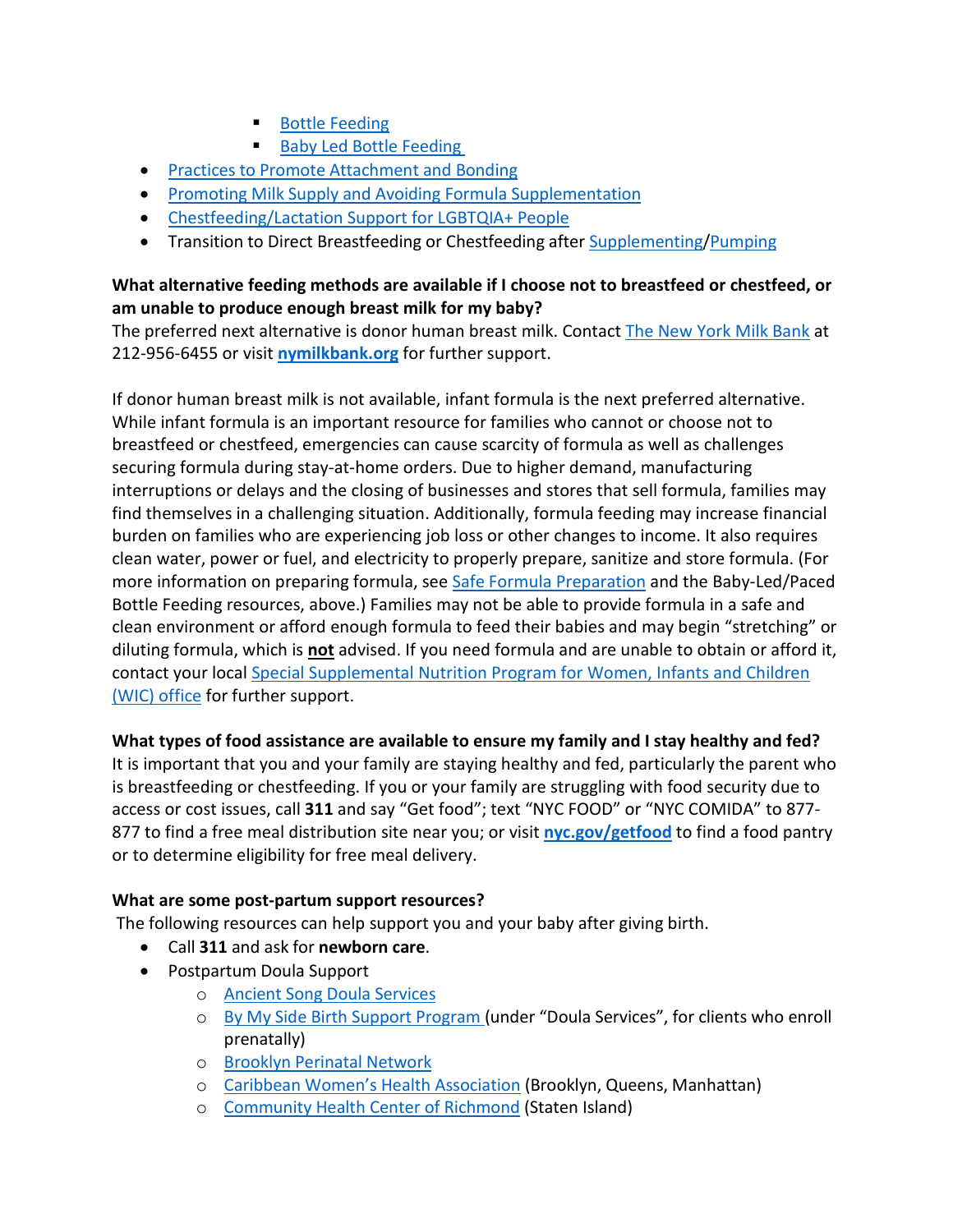- **[Bottle Feeding](https://kellymom.com/bf/pumpingmoms/feeding-tools/bottle-feeding/)**
- [Baby Led Bottle Feeding](https://www.wendyleveribclc.com/single-post/2018/05/04/Baby-led-bottle-feeding)
- [Practices to Promote Attachment](https://www.babycenter.com/baby-bonding) and Bonding
- [Promoting Milk Supply and Avoiding Formula Supplementation](https://kellymom.com/hot-topics/low-supply/)
- [Chestfeeding/Lactation Support for LGBTQIA+ People](https://happymilk.us/lgbtqia-resources/)
- Transition to Direct Breastfeeding or Chestfeeding afte[r Supplementing](https://kellymom.com/ages/newborn/nb-challenges/decrease-formula/)[/Pumping](https://thruparenting.com/reintroducing-breastfeeding-after-exclusively-pumping/)

## **What alternative feeding methods are available if I choose not to breastfeed or chestfeed, or am unable to produce enough breast milk for my baby?**

The preferred next alternative is donor human breast milk. Contact [The New York Milk Bank](https://www.nymilkbank.org/) at 212-956-6455 or visit **[nymilkbank.org](http://www.nymilkbank.org/)** for further support.

If donor human breast milk is not available, infant formula is the next preferred alternative. While infant formula is an important resource for families who cannot or choose not to breastfeed or chestfeed, emergencies can cause scarcity of formula as well as challenges securing formula during stay-at-home orders. Due to higher demand, manufacturing interruptions or delays and the closing of businesses and stores that sell formula, families may find themselves in a challenging situation. Additionally, formula feeding may increase financial burden on families who are experiencing job loss or other changes to income. It also requires clean water, power or fuel, and electricity to properly prepare, sanitize and store formula. (For more information on preparing formula, see [Safe Formula Preparation](https://www.cdc.gov/nutrition/InfantandToddlerNutrition/formula-feeding/index.html) and the Baby-Led/Paced Bottle Feeding resources, above.) Families may not be able to provide formula in a safe and clean environment or afford enough formula to feed their babies and may begin "stretching" or diluting formula, which is **not** advised. If you need formula and are unable to obtain or afford it, contact your local [Special Supplemental Nutrition Program for Women, Infants and Children](https://www.health.ny.gov/prevention/nutrition/wic/)  [\(WIC\) office](https://www.health.ny.gov/prevention/nutrition/wic/) for further support.

## **What types of food assistance are available to ensure my family and I stay healthy and fed?**

It is important that you and your family are staying healthy and fed, particularly the parent who is breastfeeding or chestfeeding. If you or your family are struggling with food security due to access or cost issues, call **311** and say "Get food"; text "NYC FOOD" or "NYC COMIDA" to 877- 877 to find a free meal distribution site near you; or visit **[nyc.gov/getfood](https://www.nyc.gov/getfood)** to find a food pantry or to determine eligibility for free meal delivery.

## **What are some post-partum support resources?**

The following resources can help support you and your baby after giving birth.

- Call **[311](https://portal.311.nyc.gov/)** and ask for **[newborn care](https://portal.311.nyc.gov/article/?kanumber=KA-02564)**.
- Postpartum Doula Support
	- o [Ancient Song Doula Services](https://www.ancientsongdoulaservices.com/)
	- o [By My Side Birth Support](https://www1.nyc.gov/site/doh/health/neighborhood-health/healthy-start-brooklyn.page) Program (under "Doula Services", for clients who enroll prenatally)
	- o [Brooklyn Perinatal Network](http://www.bpnetwork.org/nyc/)
	- o [Caribbean Women's Health Association](http://www.cwha.org/) (Brooklyn, Queens, Manhattan)
	- o [Community Health Center of Richmond](http://www.chcrichmond.org/) (Staten Island)